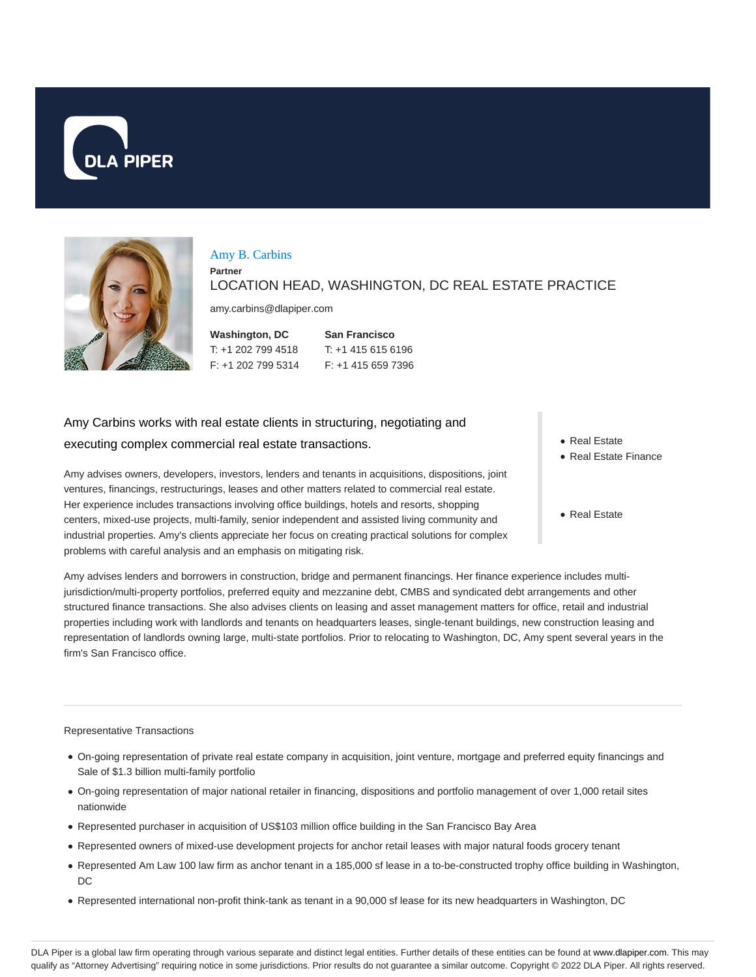



### Amy B. Carbins

**Partner**

LOCATION HEAD, WASHINGTON, DC REAL ESTATE PRACTICE

amy.carbins@dlapiper.com

| Washington, DC     | <b>San Francisco</b> |
|--------------------|----------------------|
| T: +1 202 799 4518 | $T: +14156156196$    |
| F: +1 202 799 5314 | $F: +14156597396$    |

# Amy Carbins works with real estate clients in structuring, negotiating and executing complex commercial real estate transactions.

Amy advises owners, developers, investors, lenders and tenants in acquisitions, dispositions, joint ventures, financings, restructurings, leases and other matters related to commercial real estate. Her experience includes transactions involving office buildings, hotels and resorts, shopping centers, mixed-use projects, multi-family, senior independent and assisted living community and industrial properties. Amy's clients appreciate her focus on creating practical solutions for complex problems with careful analysis and an emphasis on mitigating risk.

- Real Estate
- Real Estate Finance
- Real Estate

Amy advises lenders and borrowers in construction, bridge and permanent financings. Her finance experience includes multijurisdiction/multi-property portfolios, preferred equity and mezzanine debt, CMBS and syndicated debt arrangements and other structured finance transactions. She also advises clients on leasing and asset management matters for office, retail and industrial properties including work with landlords and tenants on headquarters leases, single-tenant buildings, new construction leasing and representation of landlords owning large, multi-state portfolios. Prior to relocating to Washington, DC, Amy spent several years in the firm's San Francisco office.

#### Representative Transactions

- On-going representation of private real estate company in acquisition, joint venture, mortgage and preferred equity financings and Sale of \$1.3 billion multi-family portfolio
- On-going representation of major national retailer in financing, dispositions and portfolio management of over 1,000 retail sites nationwide
- Represented purchaser in acquisition of US\$103 million office building in the San Francisco Bay Area
- Represented owners of mixed-use development projects for anchor retail leases with major natural foods grocery tenant
- Represented Am Law 100 law firm as anchor tenant in a 185,000 sf lease in a to-be-constructed trophy office building in Washington, DC
- Represented international non-profit think-tank as tenant in a 90,000 sf lease for its new headquarters in Washington, DC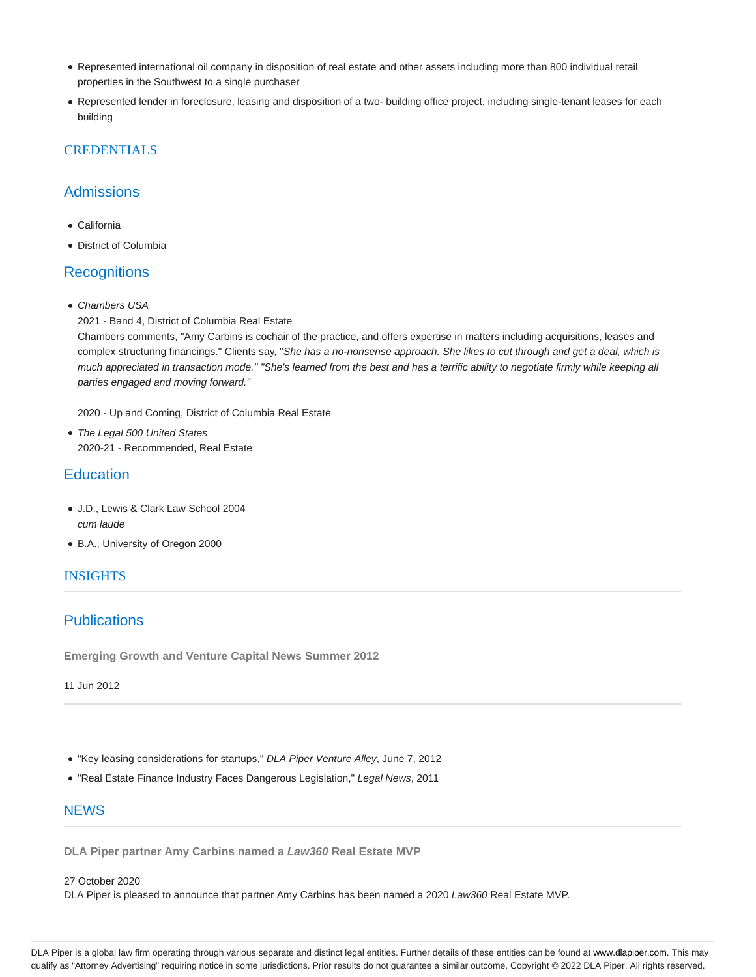- Represented international oil company in disposition of real estate and other assets including more than 800 individual retail properties in the Southwest to a single purchaser
- Represented lender in foreclosure, leasing and disposition of a two- building office project, including single-tenant leases for each building

## **CREDENTIALS**

## **Admissions**

- California
- District of Columbia

## **Recognitions**

- Chambers USA
- 2021 Band 4, District of Columbia Real Estate

Chambers comments, "Amy Carbins is cochair of the practice, and offers expertise in matters including acquisitions, leases and complex structuring financings." Clients say, "She has a no-nonsense approach. She likes to cut through and get a deal, which is much appreciated in transaction mode." "She's learned from the best and has a terrific ability to negotiate firmly while keeping all parties engaged and moving forward."

2020 - Up and Coming, District of Columbia Real Estate

• The Legal 500 United States 2020-21 - Recommended, Real Estate

## **Education**

- J.D., Lewis & Clark Law School 2004 cum laude
- B.A., University of Oregon 2000

### INSIGHTS

## **Publications**

**Emerging Growth and Venture Capital News Summer 2012**

11 Jun 2012

- "Key leasing considerations for startups," DLA Piper Venture Alley, June 7, 2012
- "Real Estate Finance Industry Faces Dangerous Legislation," Legal News, 2011

### **NEWS**

**DLA Piper partner Amy Carbins named a Law360 Real Estate MVP**

#### 27 October 2020

DLA Piper is pleased to announce that partner Amy Carbins has been named a 2020 Law360 Real Estate MVP.

DLA Piper is a global law firm operating through various separate and distinct legal entities. Further details of these entities can be found at www.dlapiper.com. This may qualify as "Attorney Advertising" requiring notice in some jurisdictions. Prior results do not guarantee a similar outcome. Copyright @ 2022 DLA Piper. All rights reserved.